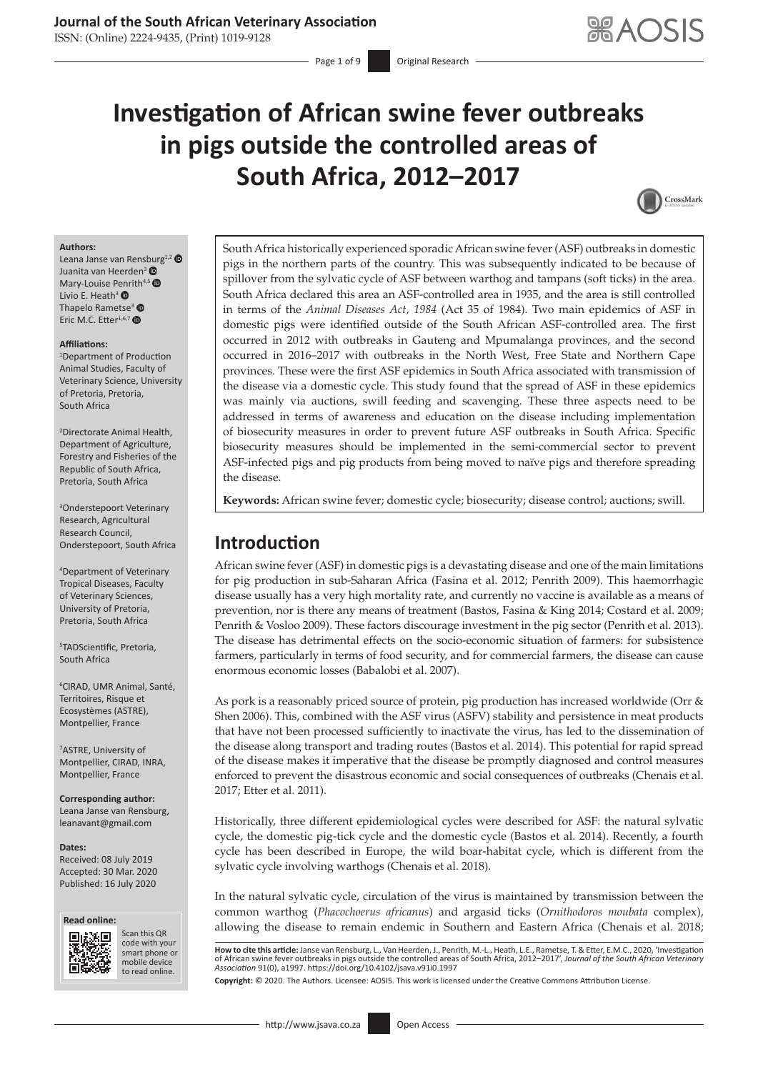ISSN: (Online) 2224-9435, (Print) 1019-9128

# **Investigation of African swine fever outbreaks in pigs outside the controlled areas of South Africa, 2012–2017**



#### **Authors:**

Leana Janse van Rens[bur](https://orcid.org/0000-0002-3048-315X)g<sup>1,[2](https://orcid.org/0000-0001-7590-8126)</sup> Juanita van Heerden<sup>3</sup> Mary-Louise P[enr](https://orcid.org/0000-0002-8350-9368)ith<sup>4,[5](https://orcid.org/0000-0001-6924-4060)</sup> Livio E. Heath<sup>3</sup>  $\bullet$ Thapelo Rametse<sup>[3](https://orcid.org/0000-0001-5726-4451)</sup> <sup>®</sup> Eric M.C. Etter<sup>1,6,[7](https://orcid.org/0000-0002-6438-7828)</sup> $\bullet$ 

#### **Affiliations:**

1 Department of Production Animal Studies, Faculty of Veterinary Science, University of Pretoria, Pretoria, South Africa

2 Directorate Animal Health, Department of Agriculture, Forestry and Fisheries of the Republic of South Africa, Pretoria, South Africa

3 Onderstepoort Veterinary Research, Agricultural Research Council, Onderstepoort, South Africa

4 Department of Veterinary Tropical Diseases, Faculty of Veterinary Sciences, University of Pretoria, Pretoria, South Africa

5 TADScientific, Pretoria, South Africa

6 CIRAD, UMR Animal, Santé, Territoires, Risque et Ecosystèmes (ASTRE), Montpellier, France

7 ASTRE, University of Montpellier, CIRAD, INRA, Montpellier, France

**Corresponding author:** Leana Janse van Rensburg, [leanavant@gmail.com](mailto:leanavant@gmail.com)

#### **Dates:**

Received: 08 July 2019 Accepted: 30 Mar. 2020 Published: 16 July 2020





Scan this QR code with your Scan this QR<br>code with your<br>smart phone or<br>mobile device mobile device to read online. to read online.

South Africa historically experienced sporadic African swine fever (ASF) outbreaks in domestic pigs in the northern parts of the country. This was subsequently indicated to be because of spillover from the sylvatic cycle of ASF between warthog and tampans (soft ticks) in the area. South Africa declared this area an ASF-controlled area in 1935, and the area is still controlled in terms of the *Animal Diseases Act, 1984* (Act 35 of 1984). Two main epidemics of ASF in domestic pigs were identified outside of the South African ASF-controlled area. The first occurred in 2012 with outbreaks in Gauteng and Mpumalanga provinces, and the second occurred in 2016–2017 with outbreaks in the North West, Free State and Northern Cape provinces. These were the first ASF epidemics in South Africa associated with transmission of the disease via a domestic cycle. This study found that the spread of ASF in these epidemics was mainly via auctions, swill feeding and scavenging. These three aspects need to be addressed in terms of awareness and education on the disease including implementation of biosecurity measures in order to prevent future ASF outbreaks in South Africa. Specific biosecurity measures should be implemented in the semi-commercial sector to prevent ASF-infected pigs and pig products from being moved to naïve pigs and therefore spreading the disease.

**Keywords:** African swine fever; domestic cycle; biosecurity; disease control; auctions; swill.

## **Introduction**

African swine fever (ASF) in domestic pigs is a devastating disease and one of the main limitations for pig production in sub-Saharan Africa (Fasina et al. 2012; Penrith 2009). This haemorrhagic disease usually has a very high mortality rate, and currently no vaccine is available as a means of prevention, nor is there any means of treatment (Bastos, Fasina & King 2014; Costard et al. 2009; Penrith & Vosloo 2009). These factors discourage investment in the pig sector (Penrith et al. 2013). The disease has detrimental effects on the socio-economic situation of farmers: for subsistence farmers, particularly in terms of food security, and for commercial farmers, the disease can cause enormous economic losses (Babalobi et al. 2007).

As pork is a reasonably priced source of protein, pig production has increased worldwide (Orr & Shen 2006). This, combined with the ASF virus (ASFV) stability and persistence in meat products that have not been processed sufficiently to inactivate the virus, has led to the dissemination of the disease along transport and trading routes (Bastos et al. 2014). This potential for rapid spread of the disease makes it imperative that the disease be promptly diagnosed and control measures enforced to prevent the disastrous economic and social consequences of outbreaks (Chenais et al. 2017; Etter et al. 2011).

Historically, three different epidemiological cycles were described for ASF: the natural sylvatic cycle, the domestic pig-tick cycle and the domestic cycle (Bastos et al. 2014). Recently, a fourth cycle has been described in Europe, the wild boar-habitat cycle, which is different from the sylvatic cycle involving warthogs (Chenais et al. 2018).

In the natural sylvatic cycle, circulation of the virus is maintained by transmission between the common warthog (*Phacochoerus africanus*) and argasid ticks (*Ornithodoros moubata* complex), allowing the disease to remain endemic in Southern and Eastern Africa (Chenais et al. 2018;

**How to cite this article:** Janse van Rensburg, L., Van Heerden, J., Penrith, M.-L., Heath, L.E., Rametse, T. & Etter, E.M.C., 2020, 'Investigation of African swine fever outbreaks in pigs outside the controlled areas of South Africa, 2012–2017', *Journal of the South African Veterinary Association* 91(0), a1997. <https://doi.org/10.4102/jsava.v91i0.1997>

**Copyright:** © 2020. The Authors. Licensee: AOSIS. This work is licensed under the Creative Commons Attribution License.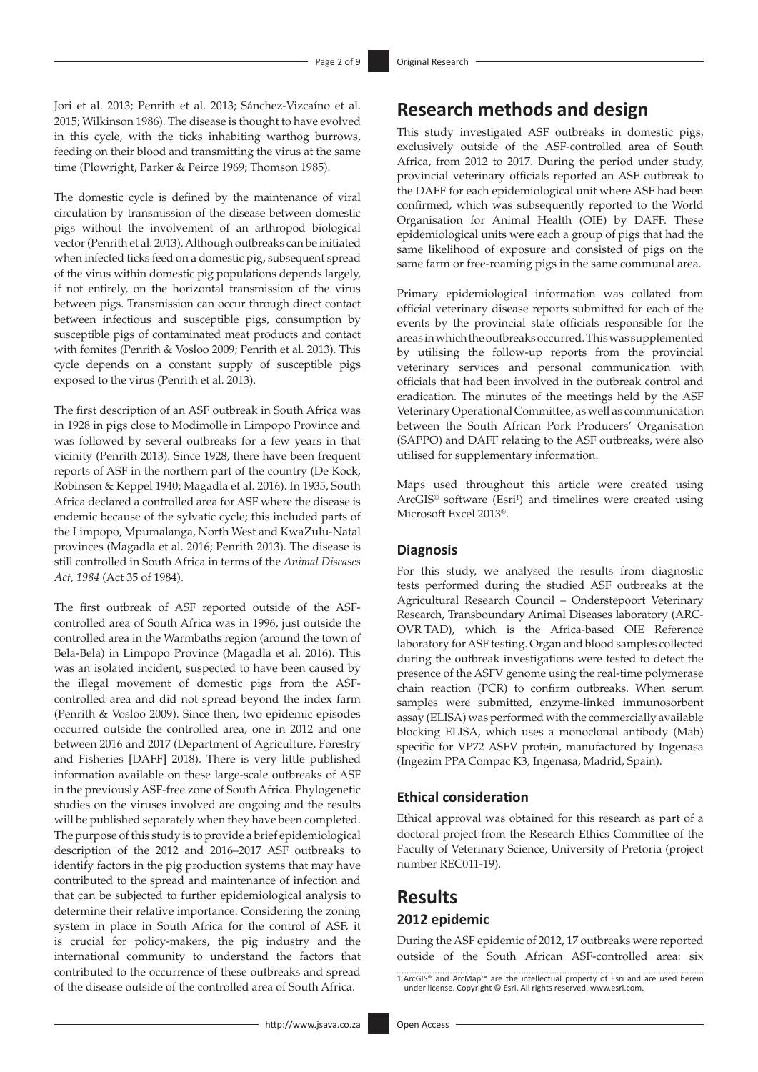Jori et al. 2013; Penrith et al. 2013; Sánchez-Vizcaíno et al. 2015; Wilkinson 1986). The disease is thought to have evolved in this cycle, with the ticks inhabiting warthog burrows, feeding on their blood and transmitting the virus at the same time (Plowright, Parker & Peirce 1969; Thomson 1985).

The domestic cycle is defined by the maintenance of viral circulation by transmission of the disease between domestic pigs without the involvement of an arthropod biological vector (Penrith et al. 2013). Although outbreaks can be initiated when infected ticks feed on a domestic pig, subsequent spread of the virus within domestic pig populations depends largely, if not entirely, on the horizontal transmission of the virus between pigs. Transmission can occur through direct contact between infectious and susceptible pigs, consumption by susceptible pigs of contaminated meat products and contact with fomites (Penrith & Vosloo 2009; Penrith et al. 2013). This cycle depends on a constant supply of susceptible pigs exposed to the virus (Penrith et al. 2013).

The first description of an ASF outbreak in South Africa was in 1928 in pigs close to Modimolle in Limpopo Province and was followed by several outbreaks for a few years in that vicinity (Penrith 2013). Since 1928, there have been frequent reports of ASF in the northern part of the country (De Kock, Robinson & Keppel 1940; Magadla et al. 2016). In 1935, South Africa declared a controlled area for ASF where the disease is endemic because of the sylvatic cycle; this included parts of the Limpopo, Mpumalanga, North West and KwaZulu-Natal provinces (Magadla et al. 2016; Penrith 2013). The disease is still controlled in South Africa in terms of the *Animal Diseases Act, 1984* (Act 35 of 1984).

The first outbreak of ASF reported outside of the ASFcontrolled area of South Africa was in 1996, just outside the controlled area in the Warmbaths region (around the town of Bela-Bela) in Limpopo Province (Magadla et al. 2016). This was an isolated incident, suspected to have been caused by the illegal movement of domestic pigs from the ASFcontrolled area and did not spread beyond the index farm (Penrith & Vosloo 2009). Since then, two epidemic episodes occurred outside the controlled area, one in 2012 and one between 2016 and 2017 (Department of Agriculture, Forestry and Fisheries [DAFF] 2018). There is very little published information available on these large-scale outbreaks of ASF in the previously ASF-free zone of South Africa. Phylogenetic studies on the viruses involved are ongoing and the results will be published separately when they have been completed. The purpose of this study is to provide a brief epidemiological description of the 2012 and 2016–2017 ASF outbreaks to identify factors in the pig production systems that may have contributed to the spread and maintenance of infection and that can be subjected to further epidemiological analysis to determine their relative importance. Considering the zoning system in place in South Africa for the control of ASF, it is crucial for policy-makers, the pig industry and the international community to understand the factors that contributed to the occurrence of these outbreaks and spread of the disease outside of the controlled area of South Africa.

# **Research methods and design**

This study investigated ASF outbreaks in domestic pigs, exclusively outside of the ASF-controlled area of South Africa, from 2012 to 2017. During the period under study, provincial veterinary officials reported an ASF outbreak to the DAFF for each epidemiological unit where ASF had been confirmed, which was subsequently reported to the World Organisation for Animal Health (OIE) by DAFF. These epidemiological units were each a group of pigs that had the same likelihood of exposure and consisted of pigs on the same farm or free-roaming pigs in the same communal area.

Primary epidemiological information was collated from official veterinary disease reports submitted for each of the events by the provincial state officials responsible for the areas in which the outbreaks occurred. This was supplemented by utilising the follow-up reports from the provincial veterinary services and personal communication with officials that had been involved in the outbreak control and eradication. The minutes of the meetings held by the ASF Veterinary Operational Committee, as well as communication between the South African Pork Producers' Organisation (SAPPO) and DAFF relating to the ASF outbreaks, were also utilised for supplementary information.

Maps used throughout this article were created using ArcGIS<sup>®</sup> software (Esri<sup>1</sup>) and timelines were created using Microsoft Excel 2013®.

### **Diagnosis**

For this study, we analysed the results from diagnostic tests performed during the studied ASF outbreaks at the Agricultural Research Council – Onderstepoort Veterinary Research, Transboundary Animal Diseases laboratory (ARC-OVR TAD), which is the Africa-based OIE Reference laboratory for ASF testing. Organ and blood samples collected during the outbreak investigations were tested to detect the presence of the ASFV genome using the real-time polymerase chain reaction (PCR) to confirm outbreaks. When serum samples were submitted, enzyme-linked immunosorbent assay (ELISA) was performed with the commercially available blocking ELISA, which uses a monoclonal antibody (Mab) specific for VP72 ASFV protein, manufactured by Ingenasa (Ingezim PPA Compac K3, Ingenasa, Madrid, Spain).

#### **Ethical consideration**

Ethical approval was obtained for this research as part of a doctoral project from the Research Ethics Committee of the Faculty of Veterinary Science, University of Pretoria (project number REC011-19).

### **Results 2012 epidemic**

During the ASF epidemic of 2012, 17 outbreaks were reported outside of the South African ASF-controlled area: six

<sup>1.</sup>ArcGIS® and ArcMap™ are the intellectual property of Esri and are used herein under license. Copyright © Esri. All rights reserved. [www.esri.com](http://www.esri.com).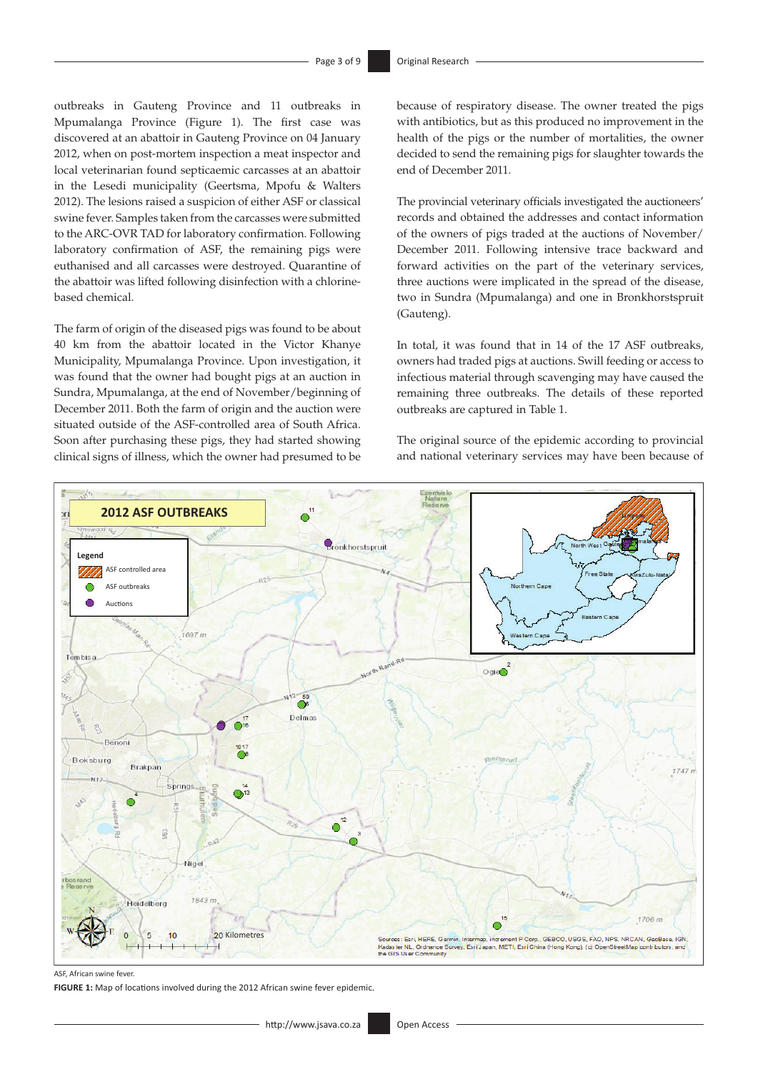outbreaks in Gauteng Province and 11 outbreaks in Mpumalanga Province (Figure 1). The first case was discovered at an abattoir in Gauteng Province on 04 January 2012, when on post-mortem inspection a meat inspector and local veterinarian found septicaemic carcasses at an abattoir in the Lesedi municipality (Geertsma, Mpofu & Walters 2012). The lesions raised a suspicion of either ASF or classical swine fever. Samples taken from the carcasses were submitted to the ARC-OVR TAD for laboratory confirmation. Following laboratory confirmation of ASF, the remaining pigs were euthanised and all carcasses were destroyed. Quarantine of the abattoir was lifted following disinfection with a chlorinebased chemical.

The farm of origin of the diseased pigs was found to be about 40 km from the abattoir located in the Victor Khanye Municipality, Mpumalanga Province. Upon investigation, it was found that the owner had bought pigs at an auction in Sundra, Mpumalanga, at the end of November/beginning of December 2011. Both the farm of origin and the auction were situated outside of the ASF-controlled area of South Africa. Soon after purchasing these pigs, they had started showing clinical signs of illness, which the owner had presumed to be because of respiratory disease. The owner treated the pigs with antibiotics, but as this produced no improvement in the health of the pigs or the number of mortalities, the owner decided to send the remaining pigs for slaughter towards the end of December 2011.

The provincial veterinary officials investigated the auctioneers' records and obtained the addresses and contact information of the owners of pigs traded at the auctions of November/ December 2011. Following intensive trace backward and forward activities on the part of the veterinary services, three auctions were implicated in the spread of the disease, two in Sundra (Mpumalanga) and one in Bronkhorstspruit (Gauteng).

In total, it was found that in 14 of the 17 ASF outbreaks, owners had traded pigs at auctions. Swill feeding or access to infectious material through scavenging may have caused the remaining three outbreaks. The details of these reported outbreaks are captured in Table 1.

The original source of the epidemic according to provincial and national veterinary services may have been because of



ASE, African swine fever

**FIGURE 1:** Map of locations involved during the 2012 African swine fever epidemic.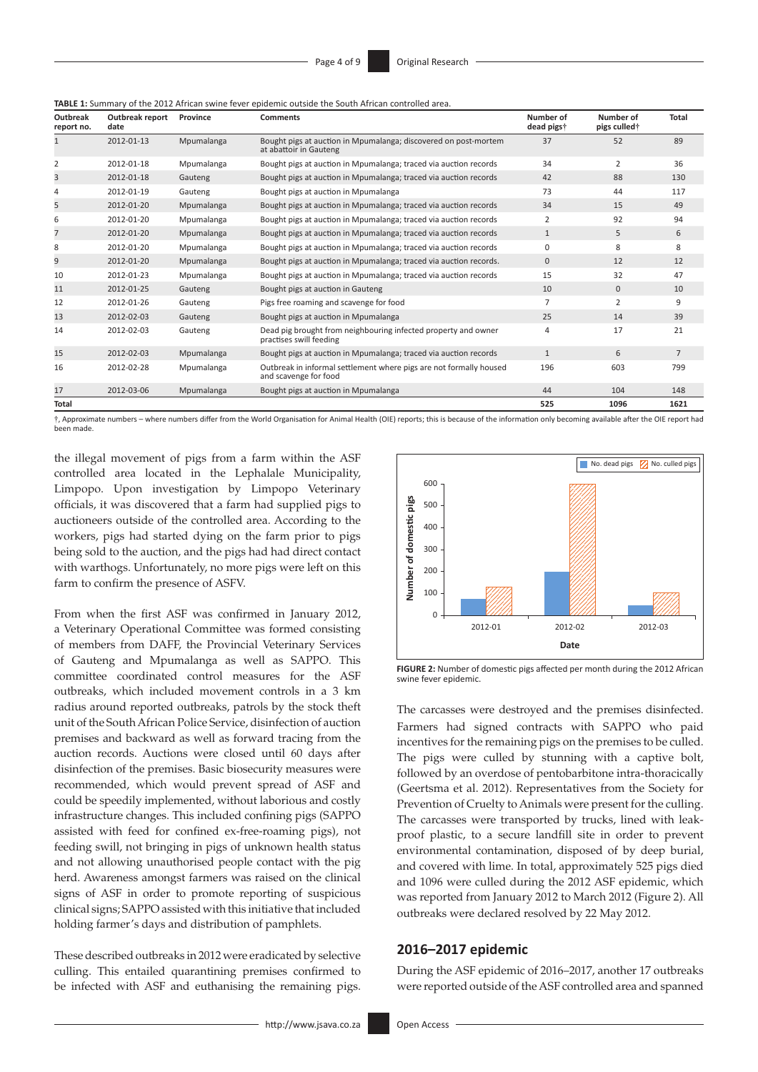**TABLE 1:** Summary of the 2012 African swine fever epidemic outside the South African controlled area.

| <b>Outbreak</b><br>report no. | Outbreak report<br>date | Province   | <b>Comments</b>                                                                             | Number of<br>dead pigs <sup>+</sup> | Number of<br>pigs culled <sup>†</sup> | <b>Total</b>   |
|-------------------------------|-------------------------|------------|---------------------------------------------------------------------------------------------|-------------------------------------|---------------------------------------|----------------|
|                               | 2012-01-13              | Mpumalanga | Bought pigs at auction in Mpumalanga; discovered on post-mortem<br>at abattoir in Gauteng   | 37                                  | 52                                    | 89             |
| 2                             | 2012-01-18              | Mpumalanga | Bought pigs at auction in Mpumalanga; traced via auction records                            | 34                                  | 2                                     | 36             |
| 3                             | 2012-01-18              | Gauteng    | Bought pigs at auction in Mpumalanga; traced via auction records                            | 42                                  | 88                                    | 130            |
| 4                             | 2012-01-19              | Gauteng    | Bought pigs at auction in Mpumalanga                                                        | 73                                  | 44                                    | 117            |
| 5                             | 2012-01-20              | Mpumalanga | Bought pigs at auction in Mpumalanga; traced via auction records                            | 34                                  | 15                                    | 49             |
| 6                             | 2012-01-20              | Mpumalanga | Bought pigs at auction in Mpumalanga; traced via auction records                            | 2                                   | 92                                    | 94             |
| 7                             | 2012-01-20              | Mpumalanga | Bought pigs at auction in Mpumalanga; traced via auction records                            | $\mathbf{1}$                        | 5                                     | 6              |
| 8                             | 2012-01-20              | Mpumalanga | Bought pigs at auction in Mpumalanga; traced via auction records                            | 0                                   | 8                                     | 8              |
| 9                             | 2012-01-20              | Mpumalanga | Bought pigs at auction in Mpumalanga; traced via auction records.                           | $\Omega$                            | 12                                    | 12             |
| 10                            | 2012-01-23              | Mpumalanga | Bought pigs at auction in Mpumalanga; traced via auction records                            | 15                                  | 32                                    | 47             |
| 11                            | 2012-01-25              | Gauteng    | Bought pigs at auction in Gauteng                                                           | 10                                  | $\Omega$                              | 10             |
| 12                            | 2012-01-26              | Gauteng    | Pigs free roaming and scavenge for food                                                     | 7                                   | 2                                     | 9              |
| 13                            | 2012-02-03              | Gauteng    | Bought pigs at auction in Mpumalanga                                                        | 2.5                                 | 14                                    | 39             |
| 14                            | 2012-02-03              | Gauteng    | Dead pig brought from neighbouring infected property and owner<br>practises swill feeding   | 4                                   | 17                                    | 21             |
| 15                            | 2012-02-03              | Mpumalanga | Bought pigs at auction in Mpumalanga; traced via auction records                            | $\mathbf{1}$                        | 6                                     | $\overline{7}$ |
| 16                            | 2012-02-28              | Mpumalanga | Outbreak in informal settlement where pigs are not formally housed<br>and scavenge for food | 196                                 | 603                                   | 799            |
| 17                            | 2012-03-06              | Mpumalanga | Bought pigs at auction in Mpumalanga                                                        | 44                                  | 104                                   | 148            |
| <b>Total</b>                  |                         |            |                                                                                             | 525                                 | 1096                                  | 1621           |

†, Approximate numbers – where numbers differ from the World Organisation for Animal Health (OIE) reports; this is because of the information only becoming available after the OIE report had been made.

the illegal movement of pigs from a farm within the ASF controlled area located in the Lephalale Municipality, Limpopo. Upon investigation by Limpopo Veterinary officials, it was discovered that a farm had supplied pigs to auctioneers outside of the controlled area. According to the workers, pigs had started dying on the farm prior to pigs being sold to the auction, and the pigs had had direct contact with warthogs. Unfortunately, no more pigs were left on this farm to confirm the presence of ASFV.

From when the first ASF was confirmed in January 2012, a Veterinary Operational Committee was formed consisting of members from DAFF, the Provincial Veterinary Services of Gauteng and Mpumalanga as well as SAPPO. This committee coordinated control measures for the ASF outbreaks, which included movement controls in a 3 km radius around reported outbreaks, patrols by the stock theft unit of the South African Police Service, disinfection of auction premises and backward as well as forward tracing from the auction records. Auctions were closed until 60 days after disinfection of the premises. Basic biosecurity measures were recommended, which would prevent spread of ASF and could be speedily implemented, without laborious and costly infrastructure changes. This included confining pigs (SAPPO assisted with feed for confined ex-free-roaming pigs), not feeding swill, not bringing in pigs of unknown health status and not allowing unauthorised people contact with the pig herd. Awareness amongst farmers was raised on the clinical signs of ASF in order to promote reporting of suspicious clinical signs; SAPPO assisted with this initiative that included holding farmer's days and distribution of pamphlets.

These described outbreaks in 2012 were eradicated by selective culling. This entailed quarantining premises confirmed to be infected with ASF and euthanising the remaining pigs.



**FIGURE 2:** Number of domestic pigs affected per month during the 2012 African swine fever epidemic.

The carcasses were destroyed and the premises disinfected. Farmers had signed contracts with SAPPO who paid incentives for the remaining pigs on the premises to be culled. The pigs were culled by stunning with a captive bolt, followed by an overdose of pentobarbitone intra-thoracically (Geertsma et al. 2012). Representatives from the Society for Prevention of Cruelty to Animals were present for the culling. The carcasses were transported by trucks, lined with leakproof plastic, to a secure landfill site in order to prevent environmental contamination, disposed of by deep burial, and covered with lime. In total, approximately 525 pigs died and 1096 were culled during the 2012 ASF epidemic, which was reported from January 2012 to March 2012 (Figure 2). All outbreaks were declared resolved by 22 May 2012.

#### **2016–2017 epidemic**

During the ASF epidemic of 2016–2017, another 17 outbreaks were reported outside of the ASF controlled area and spanned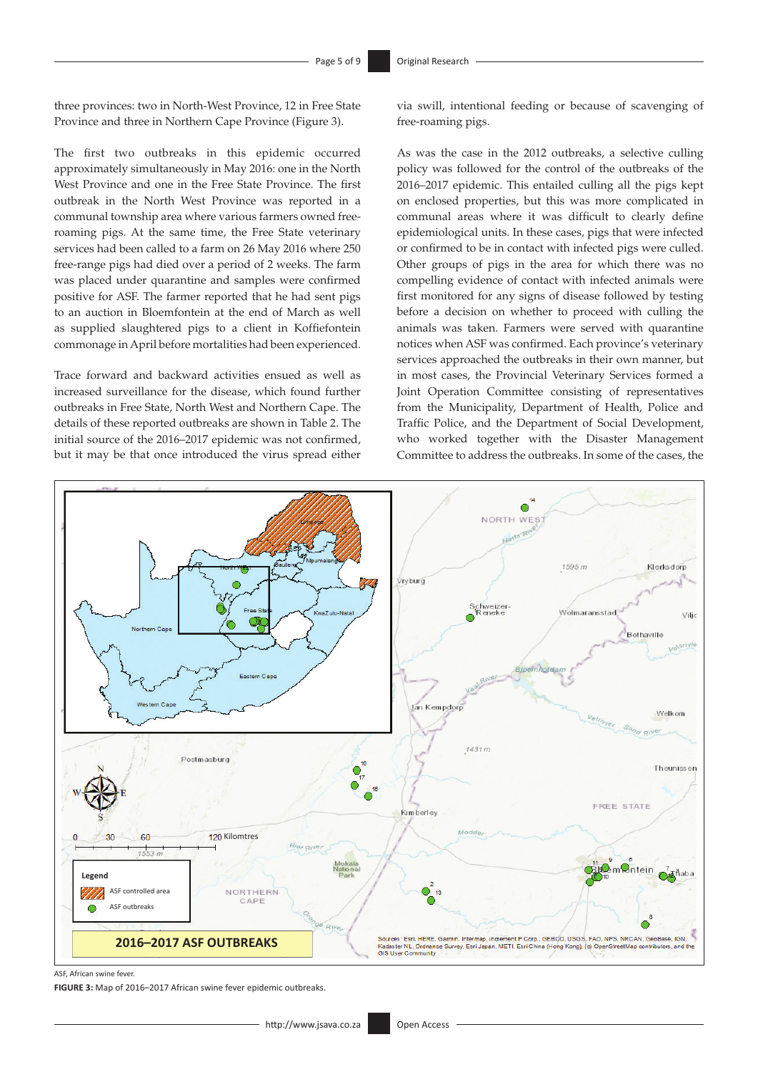three provinces: two in North-West Province, 12 in Free State Province and three in Northern Cape Province (Figure 3).

The first two outbreaks in this epidemic occurred approximately simultaneously in May 2016: one in the North West Province and one in the Free State Province. The first outbreak in the North West Province was reported in a communal township area where various farmers owned freeroaming pigs. At the same time, the Free State veterinary services had been called to a farm on 26 May 2016 where 250 free-range pigs had died over a period of 2 weeks. The farm was placed under quarantine and samples were confirmed positive for ASF. The farmer reported that he had sent pigs to an auction in Bloemfontein at the end of March as well as supplied slaughtered pigs to a client in Koffiefontein commonage in April before mortalities had been experienced.

Trace forward and backward activities ensued as well as increased surveillance for the disease, which found further outbreaks in Free State, North West and Northern Cape. The details of these reported outbreaks are shown in Table 2. The initial source of the 2016–2017 epidemic was not confirmed, but it may be that once introduced the virus spread either via swill, intentional feeding or because of scavenging of free-roaming pigs.

As was the case in the 2012 outbreaks, a selective culling policy was followed for the control of the outbreaks of the 2016–2017 epidemic. This entailed culling all the pigs kept on enclosed properties, but this was more complicated in communal areas where it was difficult to clearly define epidemiological units. In these cases, pigs that were infected or confirmed to be in contact with infected pigs were culled. Other groups of pigs in the area for which there was no compelling evidence of contact with infected animals were first monitored for any signs of disease followed by testing before a decision on whether to proceed with culling the animals was taken. Farmers were served with quarantine notices when ASF was confirmed. Each province's veterinary services approached the outbreaks in their own manner, but in most cases, the Provincial Veterinary Services formed a Joint Operation Committee consisting of representatives from the Municipality, Department of Health, Police and Traffic Police, and the Department of Social Development, who worked together with the Disaster Management Committee to address the outbreaks. In some of the cases, the



ASF, African swine fever

**FIGURE 3:** Map of 2016–2017 African swine fever epidemic outbreaks.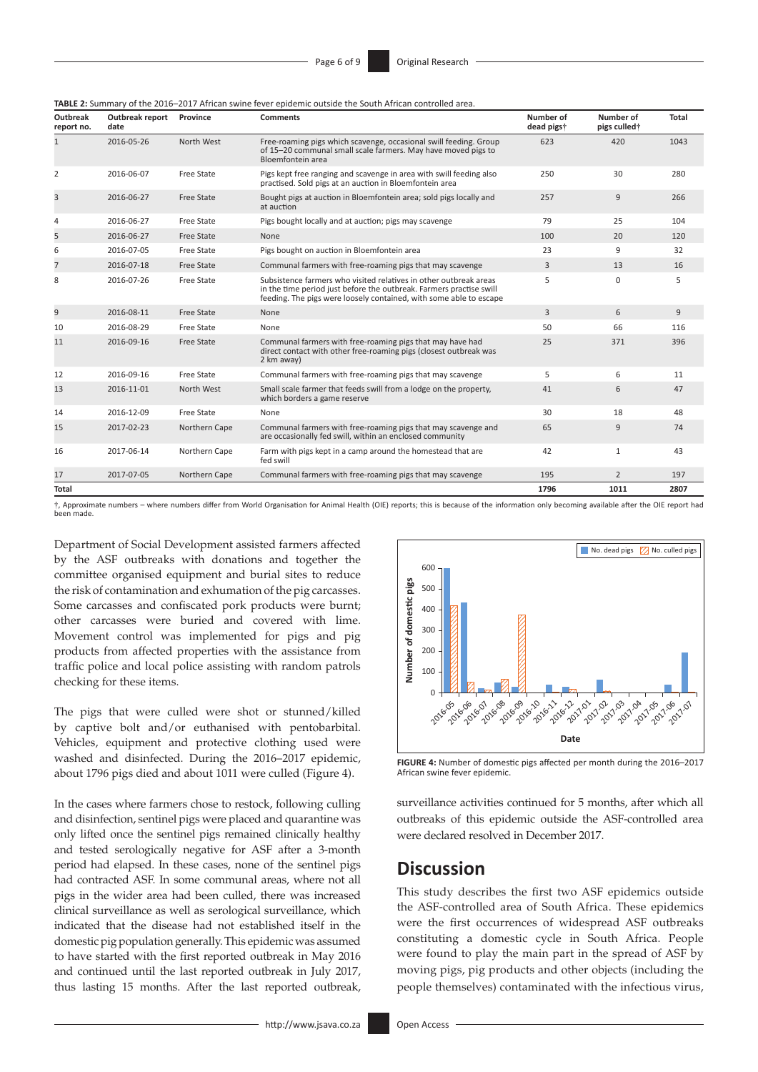| TABLE 2: Summary of the 2016-2017 African swine fever epidemic outside the South African controlled area. |  |  |  |
|-----------------------------------------------------------------------------------------------------------|--|--|--|
|-----------------------------------------------------------------------------------------------------------|--|--|--|

| <b>Outbreak</b><br>report no. | Outbreak report<br>date | Province          | <b>Comments</b>                                                                                                                                                                                                | Number of<br>dead pigs <sup>+</sup> | Number of<br>pigs culled <sup>+</sup> | <b>Total</b> |
|-------------------------------|-------------------------|-------------------|----------------------------------------------------------------------------------------------------------------------------------------------------------------------------------------------------------------|-------------------------------------|---------------------------------------|--------------|
| $\mathbf{1}$                  | 2016-05-26              | North West        | Free-roaming pigs which scavenge, occasional swill feeding. Group<br>of 15-20 communal small scale farmers. May have moved pigs to<br>Bloemfontein area                                                        | 623                                 | 420                                   | 1043         |
| $\overline{2}$                | 2016-06-07              | <b>Free State</b> | Pigs kept free ranging and scavenge in area with swill feeding also<br>practised. Sold pigs at an auction in Bloemfontein area                                                                                 | 250                                 | 30                                    | 280          |
| 3                             | 2016-06-27              | <b>Free State</b> | Bought pigs at auction in Bloemfontein area; sold pigs locally and<br>at auction                                                                                                                               | 257                                 | 9                                     | 266          |
| 4                             | 2016-06-27              | <b>Free State</b> | Pigs bought locally and at auction; pigs may scavenge                                                                                                                                                          | 79                                  | 25                                    | 104          |
| 5                             | 2016-06-27              | <b>Free State</b> | None                                                                                                                                                                                                           | 100                                 | 20                                    | 120          |
| 6                             | 2016-07-05              | <b>Free State</b> | Pigs bought on auction in Bloemfontein area                                                                                                                                                                    | 23                                  | 9                                     | 32           |
| 7                             | 2016-07-18              | <b>Free State</b> | Communal farmers with free-roaming pigs that may scavenge                                                                                                                                                      | 3                                   | 13                                    | 16           |
| 8                             | 2016-07-26              | <b>Free State</b> | Subsistence farmers who visited relatives in other outbreak areas<br>in the time period just before the outbreak. Farmers practise swill<br>feeding. The pigs were loosely contained, with some able to escape | 5                                   | $\Omega$                              | 5            |
| 9                             | 2016-08-11              | <b>Free State</b> | None                                                                                                                                                                                                           | 3                                   | 6                                     | 9            |
| 10                            | 2016-08-29              | Free State        | None                                                                                                                                                                                                           | 50                                  | 66                                    | 116          |
| 11                            | 2016-09-16              | <b>Free State</b> | Communal farmers with free-roaming pigs that may have had<br>direct contact with other free-roaming pigs (closest outbreak was<br>2 km away)                                                                   | 25                                  | 371                                   | 396          |
| 12                            | 2016-09-16              | <b>Free State</b> | Communal farmers with free-roaming pigs that may scavenge                                                                                                                                                      | 5                                   | 6                                     | 11           |
| 13                            | 2016-11-01              | North West        | Small scale farmer that feeds swill from a lodge on the property,<br>which borders a game reserve                                                                                                              | 41                                  | 6                                     | 47           |
| 14                            | 2016-12-09              | Free State        | None                                                                                                                                                                                                           | 30                                  | 18                                    | 48           |
| 15                            | 2017-02-23              | Northern Cape     | Communal farmers with free-roaming pigs that may scavenge and<br>are occasionally fed swill, within an enclosed community                                                                                      | 65                                  | 9                                     | 74           |
| 16                            | 2017-06-14              | Northern Cape     | Farm with pigs kept in a camp around the homestead that are<br>fed swill                                                                                                                                       | 42                                  | $\mathbf{1}$                          | 43           |
| 17                            | 2017-07-05              | Northern Cape     | Communal farmers with free-roaming pigs that may scavenge                                                                                                                                                      | 195                                 | $\overline{2}$                        | 197          |
| <b>Total</b>                  |                         |                   |                                                                                                                                                                                                                | 1796                                | 1011                                  | 2807         |

†, Approximate numbers – where numbers differ from World Organisation for Animal Health (OIE) reports; this is because of the information only becoming available after the OIE report had been made.

Department of Social Development assisted farmers affected by the ASF outbreaks with donations and together the committee organised equipment and burial sites to reduce the risk of contamination and exhumation of the pig carcasses. Some carcasses and confiscated pork products were burnt; other carcasses were buried and covered with lime. Movement control was implemented for pigs and pig products from affected properties with the assistance from traffic police and local police assisting with random patrols checking for these items.

The pigs that were culled were shot or stunned/killed by captive bolt and/or euthanised with pentobarbital. Vehicles, equipment and protective clothing used were washed and disinfected. During the 2016–2017 epidemic, about 1796 pigs died and about 1011 were culled (Figure 4).

In the cases where farmers chose to restock, following culling and disinfection, sentinel pigs were placed and quarantine was only lifted once the sentinel pigs remained clinically healthy and tested serologically negative for ASF after a 3-month period had elapsed. In these cases, none of the sentinel pigs had contracted ASF. In some communal areas, where not all pigs in the wider area had been culled, there was increased clinical surveillance as well as serological surveillance, which indicated that the disease had not established itself in the domestic pig population generally. This epidemic was assumed to have started with the first reported outbreak in May 2016 and continued until the last reported outbreak in July 2017, thus lasting 15 months. After the last reported outbreak,



**FIGURE 4:** Number of domestic pigs affected per month during the 2016–2017 African swine fever epidemic.

surveillance activities continued for 5 months, after which all outbreaks of this epidemic outside the ASF-controlled area were declared resolved in December 2017.

### **Discussion**

This study describes the first two ASF epidemics outside the ASF-controlled area of South Africa. These epidemics were the first occurrences of widespread ASF outbreaks constituting a domestic cycle in South Africa. People were found to play the main part in the spread of ASF by moving pigs, pig products and other objects (including the people themselves) contaminated with the infectious virus,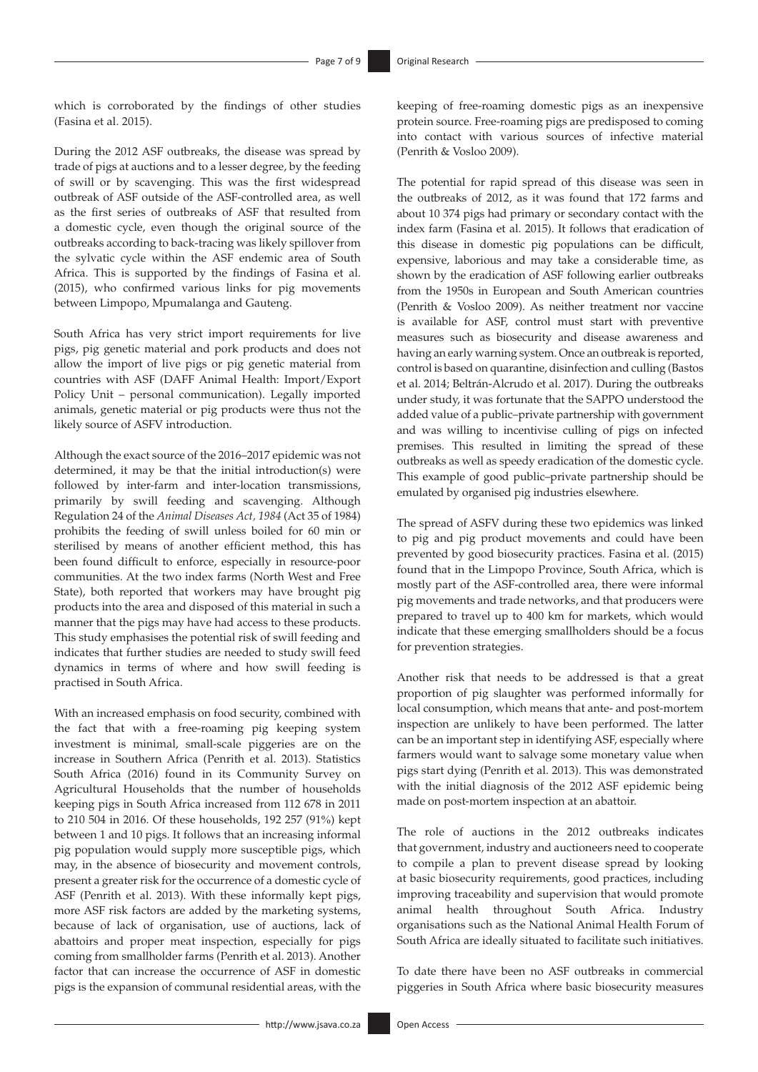which is corroborated by the findings of other studies (Fasina et al. 2015).

During the 2012 ASF outbreaks, the disease was spread by trade of pigs at auctions and to a lesser degree, by the feeding of swill or by scavenging. This was the first widespread outbreak of ASF outside of the ASF-controlled area, as well as the first series of outbreaks of ASF that resulted from a domestic cycle, even though the original source of the outbreaks according to back-tracing was likely spillover from the sylvatic cycle within the ASF endemic area of South Africa. This is supported by the findings of Fasina et al. (2015), who confirmed various links for pig movements between Limpopo, Mpumalanga and Gauteng.

South Africa has very strict import requirements for live pigs, pig genetic material and pork products and does not allow the import of live pigs or pig genetic material from countries with ASF (DAFF Animal Health: Import/Export Policy Unit – personal communication). Legally imported animals, genetic material or pig products were thus not the likely source of ASFV introduction.

Although the exact source of the 2016–2017 epidemic was not determined, it may be that the initial introduction(s) were followed by inter-farm and inter-location transmissions, primarily by swill feeding and scavenging. Although Regulation 24 of the *Animal Diseases Act, 1984* (Act 35 of 1984) prohibits the feeding of swill unless boiled for 60 min or sterilised by means of another efficient method, this has been found difficult to enforce, especially in resource-poor communities. At the two index farms (North West and Free State), both reported that workers may have brought pig products into the area and disposed of this material in such a manner that the pigs may have had access to these products. This study emphasises the potential risk of swill feeding and indicates that further studies are needed to study swill feed dynamics in terms of where and how swill feeding is practised in South Africa.

With an increased emphasis on food security, combined with the fact that with a free-roaming pig keeping system investment is minimal, small-scale piggeries are on the increase in Southern Africa (Penrith et al. 2013). Statistics South Africa (2016) found in its Community Survey on Agricultural Households that the number of households keeping pigs in South Africa increased from 112 678 in 2011 to 210 504 in 2016. Of these households, 192 257 (91%) kept between 1 and 10 pigs. It follows that an increasing informal pig population would supply more susceptible pigs, which may, in the absence of biosecurity and movement controls, present a greater risk for the occurrence of a domestic cycle of ASF (Penrith et al. 2013). With these informally kept pigs, more ASF risk factors are added by the marketing systems, because of lack of organisation, use of auctions, lack of abattoirs and proper meat inspection, especially for pigs coming from smallholder farms (Penrith et al. 2013). Another factor that can increase the occurrence of ASF in domestic pigs is the expansion of communal residential areas, with the

keeping of free-roaming domestic pigs as an inexpensive protein source. Free-roaming pigs are predisposed to coming into contact with various sources of infective material (Penrith & Vosloo 2009).

The potential for rapid spread of this disease was seen in the outbreaks of 2012, as it was found that 172 farms and about 10 374 pigs had primary or secondary contact with the index farm (Fasina et al. 2015). It follows that eradication of this disease in domestic pig populations can be difficult, expensive, laborious and may take a considerable time, as shown by the eradication of ASF following earlier outbreaks from the 1950s in European and South American countries (Penrith & Vosloo 2009). As neither treatment nor vaccine is available for ASF, control must start with preventive measures such as biosecurity and disease awareness and having an early warning system. Once an outbreak is reported, control is based on quarantine, disinfection and culling (Bastos et al. 2014; Beltrán-Alcrudo et al. 2017). During the outbreaks under study, it was fortunate that the SAPPO understood the added value of a public–private partnership with government and was willing to incentivise culling of pigs on infected premises. This resulted in limiting the spread of these outbreaks as well as speedy eradication of the domestic cycle. This example of good public–private partnership should be emulated by organised pig industries elsewhere.

The spread of ASFV during these two epidemics was linked to pig and pig product movements and could have been prevented by good biosecurity practices. Fasina et al. (2015) found that in the Limpopo Province, South Africa, which is mostly part of the ASF-controlled area, there were informal pig movements and trade networks, and that producers were prepared to travel up to 400 km for markets, which would indicate that these emerging smallholders should be a focus for prevention strategies.

Another risk that needs to be addressed is that a great proportion of pig slaughter was performed informally for local consumption, which means that ante- and post-mortem inspection are unlikely to have been performed. The latter can be an important step in identifying ASF, especially where farmers would want to salvage some monetary value when pigs start dying (Penrith et al. 2013). This was demonstrated with the initial diagnosis of the 2012 ASF epidemic being made on post-mortem inspection at an abattoir.

The role of auctions in the 2012 outbreaks indicates that government, industry and auctioneers need to cooperate to compile a plan to prevent disease spread by looking at basic biosecurity requirements, good practices, including improving traceability and supervision that would promote animal health throughout South Africa. Industry organisations such as the National Animal Health Forum of South Africa are ideally situated to facilitate such initiatives.

To date there have been no ASF outbreaks in commercial piggeries in South Africa where basic biosecurity measures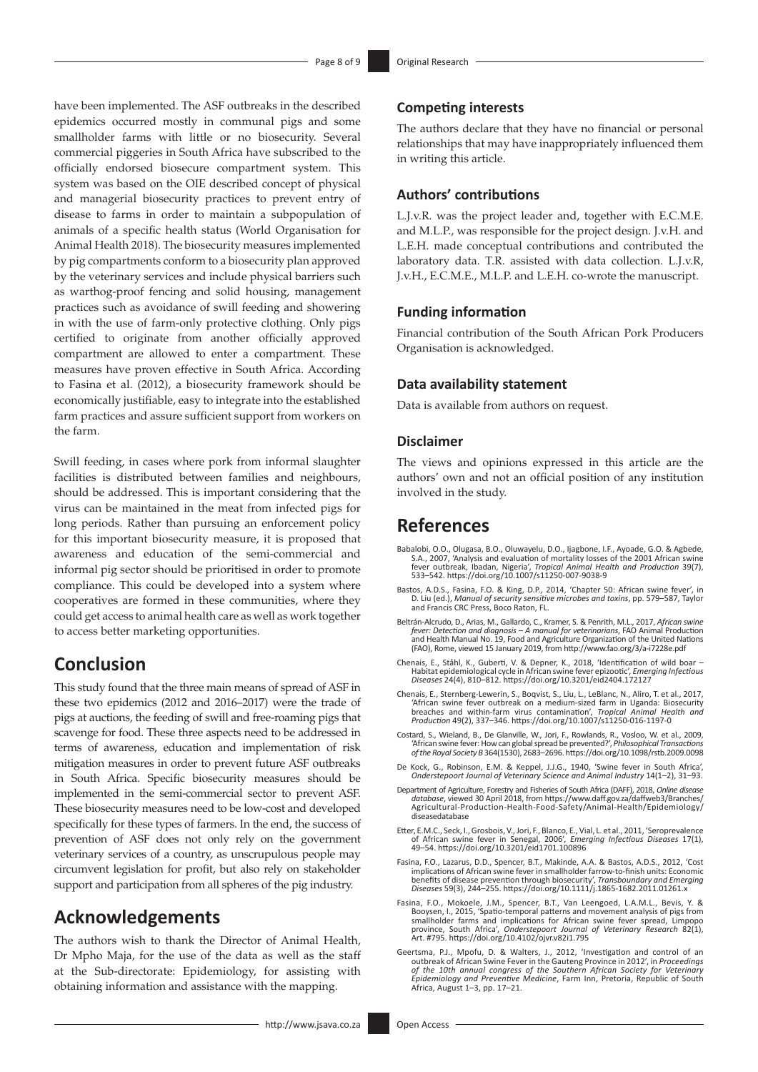have been implemented. The ASF outbreaks in the described epidemics occurred mostly in communal pigs and some smallholder farms with little or no biosecurity. Several commercial piggeries in South Africa have subscribed to the officially endorsed biosecure compartment system. This system was based on the OIE described concept of physical and managerial biosecurity practices to prevent entry of disease to farms in order to maintain a subpopulation of animals of a specific health status (World Organisation for Animal Health 2018). The biosecurity measures implemented by pig compartments conform to a biosecurity plan approved by the veterinary services and include physical barriers such as warthog-proof fencing and solid housing, management practices such as avoidance of swill feeding and showering in with the use of farm-only protective clothing. Only pigs certified to originate from another officially approved compartment are allowed to enter a compartment. These measures have proven effective in South Africa. According to Fasina et al. (2012), a biosecurity framework should be economically justifiable, easy to integrate into the established farm practices and assure sufficient support from workers on the farm.

Swill feeding, in cases where pork from informal slaughter facilities is distributed between families and neighbours, should be addressed. This is important considering that the virus can be maintained in the meat from infected pigs for long periods. Rather than pursuing an enforcement policy for this important biosecurity measure, it is proposed that awareness and education of the semi-commercial and informal pig sector should be prioritised in order to promote compliance. This could be developed into a system where cooperatives are formed in these communities, where they could get access to animal health care as well as work together to access better marketing opportunities.

### **Conclusion**

This study found that the three main means of spread of ASF in these two epidemics (2012 and 2016–2017) were the trade of pigs at auctions, the feeding of swill and free-roaming pigs that scavenge for food. These three aspects need to be addressed in terms of awareness, education and implementation of risk mitigation measures in order to prevent future ASF outbreaks in South Africa. Specific biosecurity measures should be implemented in the semi-commercial sector to prevent ASF. These biosecurity measures need to be low-cost and developed specifically for these types of farmers. In the end, the success of prevention of ASF does not only rely on the government veterinary services of a country, as unscrupulous people may circumvent legislation for profit, but also rely on stakeholder support and participation from all spheres of the pig industry.

### **Acknowledgements**

The authors wish to thank the Director of Animal Health, Dr Mpho Maja, for the use of the data as well as the staff at the Sub-directorate: Epidemiology, for assisting with obtaining information and assistance with the mapping.

### **Competing interests**

The authors declare that they have no financial or personal relationships that may have inappropriately influenced them in writing this article.

### **Authors' contributions**

L.J.v.R. was the project leader and, together with E.C.M.E. and M.L.P., was responsible for the project design. J.v.H. and L.E.H. made conceptual contributions and contributed the laboratory data. T.R. assisted with data collection. L.J.v.R, J.v.H., E.C.M.E., M.L.P. and L.E.H. co-wrote the manuscript.

### **Funding information**

Financial contribution of the South African Pork Producers Organisation is acknowledged.

### **Data availability statement**

Data is available from authors on request.

### **Disclaimer**

The views and opinions expressed in this article are the authors' own and not an official position of any institution involved in the study.

### **References**

- Babalobi, O.O., Olugasa, B.O., Oluwayelu, D.O., Ijagbone, I.F., Ayoade, G.O. & Agbede, S.A., 2007, 'Analysis and evaluation of mortality losses of the 2001 African swine<br>fever outbreak, Ibadan, Nigeria', *Tropical Animal Health and Production* 39(7),<br>533–542.<https://doi.org/10.1007/s11250-007-9038-9>
- Bastos, A.D.S., Fasina, F.O. & King, D.P., 2014, 'Chapter 50: African swine fever', in D. Liu (ed.), *Manual of security sensitive microbes and toxins*, pp. 579–587, Taylor and Francis CRC Press, Boco Raton, FL.
- Beltrán-Alcrudo, D., Arias, M., Gallardo, C., Kramer, S. & Penrith, M.L., 2017, *African swine fever: Detection and diagnosis – A manual for veterinarians*, FAO Animal Production and Health Manual No. 19, Food and Agriculture Organization of the United Nations (FAO), Rome, viewed 15 January 2019, from<http://www.fao.org/3/a-i7228e.pdf>
- Chenais, E., Ståhl, K., Guberti, V. & Depner, K., 2018, 'Identification of wild boar Habitat epidemiological cycle in African swine fever epizootic', *Emerging Infectious Diseases* 24(4), 810–812.<https://doi.org/10.3201/eid2404.172127>
- Chenais, E., Sternberg-Lewerin, S., Boqvist, S., Liu, L., LeBlanc, N., Aliro, T. et al., 2017, 'African swine fever outbreak on a medium-sized farm in Uganda: Biosecurity breaches and within-farm virus contamination', *Tropical Animal Health and Production* 49(2), 337–346. <https://doi.org/10.1007/s11250-016-1197-0>
- Costard, S., Wieland, B., De Glanville, W., Jori, F., Rowlands, R., Vosloo, W. et al., 2009,<br>"African swine fever: How can global spread be prevented?", *Philosophical Transactions*<br>2009.of the Royal Society B 364(1530), 2
- De Kock, G., Robinson, E.M. & Keppel, J.J.G., 1940, 'Swine fever in South Africa', *Onderstepoort Journal of Veterinary Science and Animal Industry* 14(1–2), 31–93.
- Department of Agriculture, Forestry and Fisheries of South Africa (DAFF), 2018, *Online disease database*, viewed 30 April 2018, from [https://www.daff.gov.za/daffweb3/Branches/](https://www.daff.gov.za/daffweb3/Branches/Agricultural-Production-Health-Food-Safety/Animal-Health/Epidemiology/diseasedatabase) [Agricultural-Production-Health-Food-Safety/Animal-Health/Epidemiology/](https://www.daff.gov.za/daffweb3/Branches/Agricultural-Production-Health-Food-Safety/Animal-Health/Epidemiology/diseasedatabase) [diseasedatabase](https://www.daff.gov.za/daffweb3/Branches/Agricultural-Production-Health-Food-Safety/Animal-Health/Epidemiology/diseasedatabase)
- Etter, E.M.C., Seck, I., Grosbois, V., Jori, F., Blanco, E., Vial, L. et al., 2011, 'Seroprevalence of African swine fever in Senegal, 2006', *Emerging Infectious Diseases* 17(1), 49–54.<https://doi.org/10.3201/eid1701.100896>
- Fasina, F.O., Lazarus, D.D., Spencer, B.T., Makinde, A.A. & Bastos, A.D.S., 2012, 'Cost implications of African swine fever in smallholder farrow-to-finish units: Economic benefits of disease prevention through biosecurity', *Transboundary and Emerging Diseases* 59(3), 244–255.<https://doi.org/10.1111/j.1865-1682.2011.01261.x>
- Fasina, F.O., Mokoele, J.M., Spencer, B.T., Van Leengoed, L.A.M.L., Bevis, Y. & Booysen, I., 2015, 'Spatio-temporal patterns and movement analysis of pigs from smallholder farms and implications for African swine fever spread, Limpopo province, South Africa', *Onderstepoort Journal of Veterinary Research* 82(1), Art. #795. <https://doi.org/10.4102/ojvr.v82i1.795>
- Geertsma, P.J., Mpofu, D. & Walters, J., 2012, 'Investigation and control of an outbreak of African Swine Fever in the Gauteng Province in 2012', in *Proceedings of the 10th annual congress of the Southern African Society for Veterinary Epidemiology and Preventive Medicine*, Farm Inn, Pretoria, Republic of South Africa, August 1–3, pp. 17–21.